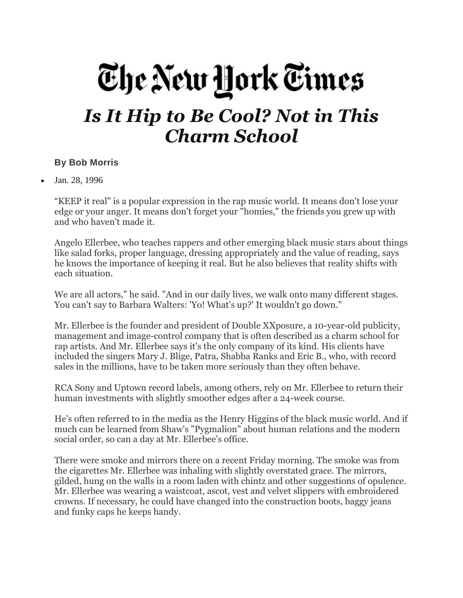## The New York Times *Is It Hip to Be Cool? Not in This Charm School*

## **By Bob Morris**

Jan. 28, 1996

"KEEP it real" is a popular expression in the rap music world. It means don't lose your edge or your anger. It means don't forget your "homies," the friends you grew up with and who haven't made it.

Angelo Ellerbee, who teaches rappers and other emerging black music stars about things like salad forks, proper language, dressing appropriately and the value of reading, says he knows the importance of keeping it real. But he also believes that reality shifts with each situation.

We are all actors," he said. "And in our daily lives, we walk onto many different stages. You can't say to Barbara Walters: 'Yo! What's up?' It wouldn't go down."

Mr. Ellerbee is the founder and president of Double XXposure, a 10-year-old publicity, management and image-control company that is often described as a charm school for rap artists. And Mr. Ellerbee says it's the only company of its kind. His clients have included the singers Mary J. Blige, Patra, Shabba Ranks and Eric B., who, with record sales in the millions, have to be taken more seriously than they often behave.

RCA Sony and Uptown record labels, among others, rely on Mr. Ellerbee to return their human investments with slightly smoother edges after a 24-week course.

He's often referred to in the media as the Henry Higgins of the black music world. And if much can be learned from Shaw's "Pygmalion" about human relations and the modern social order, so can a day at Mr. Ellerbee's office.

There were smoke and mirrors there on a recent Friday morning. The smoke was from the cigarettes Mr. Ellerbee was inhaling with slightly overstated grace. The mirrors, gilded, hung on the walls in a room laden with chintz and other suggestions of opulence. Mr. Ellerbee was wearing a waistcoat, ascot, vest and velvet slippers with embroidered crowns. If necessary, he could have changed into the construction boots, baggy jeans and funky caps he keeps handy.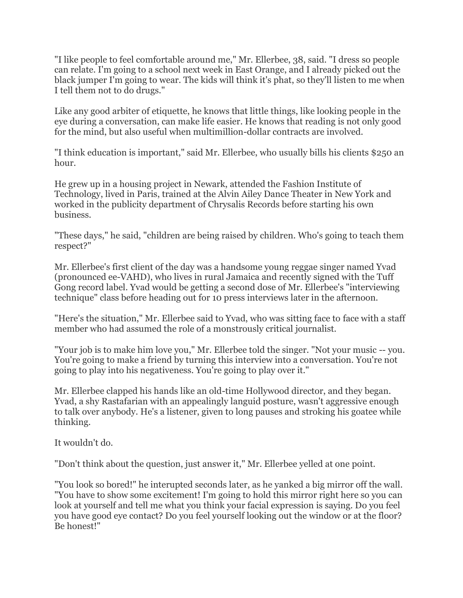"I like people to feel comfortable around me," Mr. Ellerbee, 38, said. "I dress so people can relate. I'm going to a school next week in East Orange, and I already picked out the black jumper I'm going to wear. The kids will think it's phat, so they'll listen to me when I tell them not to do drugs."

Like any good arbiter of etiquette, he knows that little things, like looking people in the eye during a conversation, can make life easier. He knows that reading is not only good for the mind, but also useful when multimillion-dollar contracts are involved.

"I think education is important," said Mr. Ellerbee, who usually bills his clients \$250 an hour.

He grew up in a housing project in Newark, attended the Fashion Institute of Technology, lived in Paris, trained at the Alvin Ailey Dance Theater in New York and worked in the publicity department of Chrysalis Records before starting his own business.

"These days," he said, "children are being raised by children. Who's going to teach them respect?"

Mr. Ellerbee's first client of the day was a handsome young reggae singer named Yvad (pronounced ee-VAHD), who lives in rural Jamaica and recently signed with the Tuff Gong record label. Yvad would be getting a second dose of Mr. Ellerbee's "interviewing technique" class before heading out for 10 press interviews later in the afternoon.

"Here's the situation," Mr. Ellerbee said to Yvad, who was sitting face to face with a staff member who had assumed the role of a monstrously critical journalist.

"Your job is to make him love you," Mr. Ellerbee told the singer. "Not your music -- you. You're going to make a friend by turning this interview into a conversation. You're not going to play into his negativeness. You're going to play over it."

Mr. Ellerbee clapped his hands like an old-time Hollywood director, and they began. Yvad, a shy Rastafarian with an appealingly languid posture, wasn't aggressive enough to talk over anybody. He's a listener, given to long pauses and stroking his goatee while thinking.

It wouldn't do.

"Don't think about the question, just answer it," Mr. Ellerbee yelled at one point.

"You look so bored!" he interupted seconds later, as he yanked a big mirror off the wall. "You have to show some excitement! I'm going to hold this mirror right here so you can look at yourself and tell me what you think your facial expression is saying. Do you feel you have good eye contact? Do you feel yourself looking out the window or at the floor? Be honest!"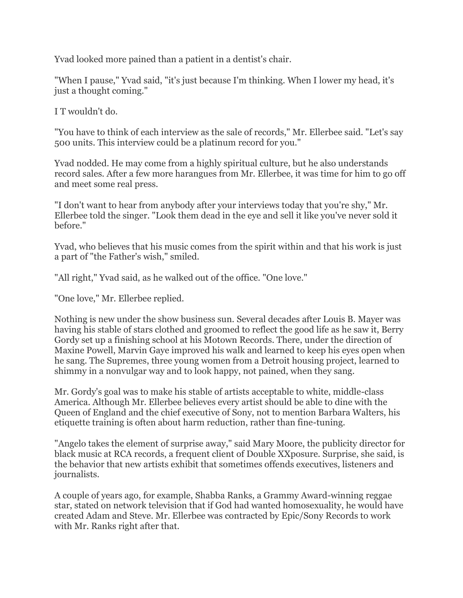Yvad looked more pained than a patient in a dentist's chair.

"When I pause," Yvad said, "it's just because I'm thinking. When I lower my head, it's just a thought coming."

I T wouldn't do.

"You have to think of each interview as the sale of records," Mr. Ellerbee said. "Let's say 500 units. This interview could be a platinum record for you."

Yvad nodded. He may come from a highly spiritual culture, but he also understands record sales. After a few more harangues from Mr. Ellerbee, it was time for him to go off and meet some real press.

"I don't want to hear from anybody after your interviews today that you're shy," Mr. Ellerbee told the singer. "Look them dead in the eye and sell it like you've never sold it before."

Yvad, who believes that his music comes from the spirit within and that his work is just a part of "the Father's wish," smiled.

"All right," Yvad said, as he walked out of the office. "One love."

"One love," Mr. Ellerbee replied.

Nothing is new under the show business sun. Several decades after Louis B. Mayer was having his stable of stars clothed and groomed to reflect the good life as he saw it, Berry Gordy set up a finishing school at his Motown Records. There, under the direction of Maxine Powell, Marvin Gaye improved his walk and learned to keep his eyes open when he sang. The Supremes, three young women from a Detroit housing project, learned to shimmy in a nonvulgar way and to look happy, not pained, when they sang.

Mr. Gordy's goal was to make his stable of artists acceptable to white, middle-class America. Although Mr. Ellerbee believes every artist should be able to dine with the Queen of England and the chief executive of Sony, not to mention Barbara Walters, his etiquette training is often about harm reduction, rather than fine-tuning.

"Angelo takes the element of surprise away," said Mary Moore, the publicity director for black music at RCA records, a frequent client of Double XXposure. Surprise, she said, is the behavior that new artists exhibit that sometimes offends executives, listeners and journalists.

A couple of years ago, for example, Shabba Ranks, a Grammy Award-winning reggae star, stated on network television that if God had wanted homosexuality, he would have created Adam and Steve. Mr. Ellerbee was contracted by Epic/Sony Records to work with Mr. Ranks right after that.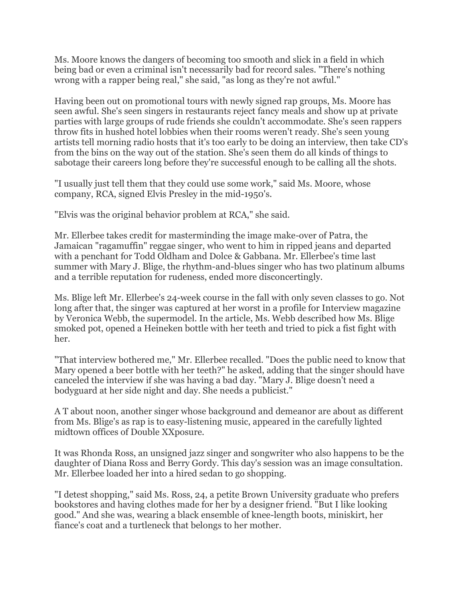Ms. Moore knows the dangers of becoming too smooth and slick in a field in which being bad or even a criminal isn't necessarily bad for record sales. "There's nothing wrong with a rapper being real," she said, "as long as they're not awful."

Having been out on promotional tours with newly signed rap groups, Ms. Moore has seen awful. She's seen singers in restaurants reject fancy meals and show up at private parties with large groups of rude friends she couldn't accommodate. She's seen rappers throw fits in hushed hotel lobbies when their rooms weren't ready. She's seen young artists tell morning radio hosts that it's too early to be doing an interview, then take CD's from the bins on the way out of the station. She's seen them do all kinds of things to sabotage their careers long before they're successful enough to be calling all the shots.

"I usually just tell them that they could use some work," said Ms. Moore, whose company, RCA, signed Elvis Presley in the mid-1950's.

"Elvis was the original behavior problem at RCA," she said.

Mr. Ellerbee takes credit for masterminding the image make-over of Patra, the Jamaican "ragamuffin" reggae singer, who went to him in ripped jeans and departed with a penchant for Todd Oldham and Dolce & Gabbana. Mr. Ellerbee's time last summer with Mary J. Blige, the rhythm-and-blues singer who has two platinum albums and a terrible reputation for rudeness, ended more disconcertingly.

Ms. Blige left Mr. Ellerbee's 24-week course in the fall with only seven classes to go. Not long after that, the singer was captured at her worst in a profile for Interview magazine by Veronica Webb, the supermodel. In the article, Ms. Webb described how Ms. Blige smoked pot, opened a Heineken bottle with her teeth and tried to pick a fist fight with her.

"That interview bothered me," Mr. Ellerbee recalled. "Does the public need to know that Mary opened a beer bottle with her teeth?" he asked, adding that the singer should have canceled the interview if she was having a bad day. "Mary J. Blige doesn't need a bodyguard at her side night and day. She needs a publicist."

A T about noon, another singer whose background and demeanor are about as different from Ms. Blige's as rap is to easy-listening music, appeared in the carefully lighted midtown offices of Double XXposure.

It was Rhonda Ross, an unsigned jazz singer and songwriter who also happens to be the daughter of Diana Ross and Berry Gordy. This day's session was an image consultation. Mr. Ellerbee loaded her into a hired sedan to go shopping.

"I detest shopping," said Ms. Ross, 24, a petite Brown University graduate who prefers bookstores and having clothes made for her by a designer friend. "But I like looking good." And she was, wearing a black ensemble of knee-length boots, miniskirt, her fiance's coat and a turtleneck that belongs to her mother.